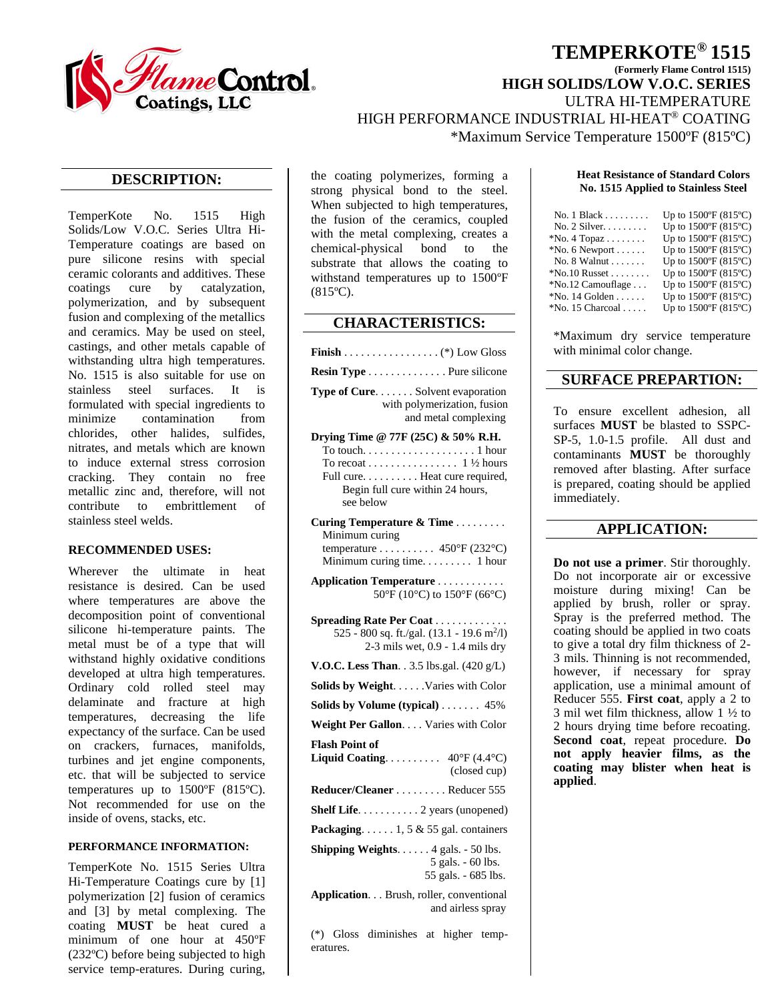

# **TEMPERKOTE® 1515**

**(Formerly Flame Control 1515)**

**HIGH SOLIDS/LOW V.O.C. SERIES**

\*Maximum Service Temperature 1500ºF (815ºC)

HIGH PERFORMANCE INDUSTRIAL HI-HEAT® COATING

ULTRA HI-TEMPERATURE

# **DESCRIPTION:**

TemperKote No. 1515 High Solids/Low V.O.C. Series Ultra Hi-Temperature coatings are based on pure silicone resins with special ceramic colorants and additives. These coatings cure by catalyzation, polymerization, and by subsequent fusion and complexing of the metallics and ceramics. May be used on steel, castings, and other metals capable of withstanding ultra high temperatures. No. 1515 is also suitable for use on stainless steel surfaces. It is formulated with special ingredients to minimize contamination from chlorides, other halides, sulfides, nitrates, and metals which are known to induce external stress corrosion cracking. They contain no free metallic zinc and, therefore, will not contribute to embrittlement of stainless steel welds.

## **RECOMMENDED USES:**

Wherever the ultimate in heat resistance is desired. Can be used where temperatures are above the decomposition point of conventional silicone hi-temperature paints. The metal must be of a type that will withstand highly oxidative conditions developed at ultra high temperatures. Ordinary cold rolled steel may delaminate and fracture at high temperatures, decreasing the life expectancy of the surface. Can be used on crackers, furnaces, manifolds, turbines and jet engine components, etc. that will be subjected to service temperatures up to 1500ºF (815ºC). Not recommended for use on the inside of ovens, stacks, etc.

#### **PERFORMANCE INFORMATION:**

TemperKote No. 1515 Series Ultra Hi-Temperature Coatings cure by [1] polymerization [2] fusion of ceramics and [3] by metal complexing. The coating **MUST** be heat cured a minimum of one hour at 450ºF (232ºC) before being subjected to high service temp-eratures. During curing,

the coating polymerizes, forming a strong physical bond to the steel. When subjected to high temperatures, the fusion of the ceramics, coupled with the metal complexing, creates a chemical-physical bond to the substrate that allows the coating to withstand temperatures up to 1500ºF  $(815^{\circ}C)$ .

## **CHARACTERISTICS:**

| Resin Type Pure silicone                                                                                                                                                                                           |  |  |
|--------------------------------------------------------------------------------------------------------------------------------------------------------------------------------------------------------------------|--|--|
| <b>Type of Cure.</b> $\dots$ . Solvent evaporation<br>with polymerization, fusion<br>and metal complexing                                                                                                          |  |  |
| Drying Time @ 77F (25C) & 50% R.H.<br>To touch. $\dots \dots \dots \dots \dots \dots 1$ hour<br>To recoat 1 $\frac{1}{2}$ hours<br>Full cure. Heat cure required,<br>Begin full cure within 24 hours,<br>see below |  |  |
| Curing Temperature $\&$ Time                                                                                                                                                                                       |  |  |
| Minimum curing                                                                                                                                                                                                     |  |  |
| temperature 450°F (232°C)                                                                                                                                                                                          |  |  |

| $\ldots$                  |  |
|---------------------------|--|
| temperature 450°F (232°C) |  |
|                           |  |

**Application Temperature** . . . . . . . . . . . . 50°F (10°C) to 150°F (66°C)

- **Spreading Rate Per Coat** . . . . . . . . . . . . . 525 - 800 sq. ft./gal.  $(13.1 - 19.6 \text{ m}^2/\text{I})$ 2-3 mils wet, 0.9 - 1.4 mils dry
- **V.O.C. Less Than**. . 3.5 lbs.gal. (420 g/L) **Solids by Weight**. . . . . .Varies with Color **Solids by Volume (typical)** . . . . . . . 45% **Weight Per Gallon**. . . . Varies with Color **Flash Point of**
- **Liquid Coating**. . . . . . . . . . 40°F (4.4°C) (closed cup) **Reducer/Cleaner** . . . . . . . . . Reducer 555 **Shelf Life**. . . . . . . . . . . 2 years (unopened) Packaging. . . . . . 1, 5 & 55 gal. containers **Shipping Weights**. . . . . . 4 gals. - 50 lbs. 5 gals. - 60 lbs. 55 gals. - 685 lbs.

**Application**. . . Brush, roller, conventional and airless spray

(\*) Gloss diminishes at higher temperatures.

#### **Heat Resistance of Standard Colors No. 1515 Applied to Stainless Steel**

| $No. 1 Black \ldots$        | Up to $1500^{\circ}F(815^{\circ}C)$ |
|-----------------------------|-------------------------------------|
| $No. 2 Silver.$             | Up to $1500^{\circ}F(815^{\circ}C)$ |
| $*$ No. 4 Topaz             | Up to $1500^{\circ}F(815^{\circ}C)$ |
| $*$ No. 6 Newport $\dots$ . | Up to $1500^{\circ}F(815^{\circ}C)$ |
| No. $8$ Walnut              | Up to $1500^{\circ}F(815^{\circ}C)$ |
| $*$ No.10 Russet            | Up to $1500^{\circ}F(815^{\circ}C)$ |
| $*$ No.12 Camouflage        | Up to $1500^{\circ}F(815^{\circ}C)$ |
| $*$ No. 14 Golden $\dots$ . | Up to $1500^{\circ}F(815^{\circ}C)$ |
| *No. 15 Charcoal            | Up to $1500^{\circ}F(815^{\circ}C)$ |

\*Maximum dry service temperature with minimal color change.

## **SURFACE PREPARTION:**

To ensure excellent adhesion, all surfaces **MUST** be blasted to SSPC-SP-5, 1.0-1.5 profile. All dust and contaminants **MUST** be thoroughly removed after blasting. After surface is prepared, coating should be applied immediately.

# **APPLICATION:**

**Do not use a primer**. Stir thoroughly. Do not incorporate air or excessive moisture during mixing! Can be applied by brush, roller or spray. Spray is the preferred method. The coating should be applied in two coats to give a total dry film thickness of 2- 3 mils. Thinning is not recommended, however, if necessary for spray application, use a minimal amount of Reducer 555. **First coat**, apply a 2 to 3 mil wet film thickness, allow 1 ½ to 2 hours drying time before recoating. **Second coat**, repeat procedure. **Do not apply heavier films, as the coating may blister when heat is applied**.